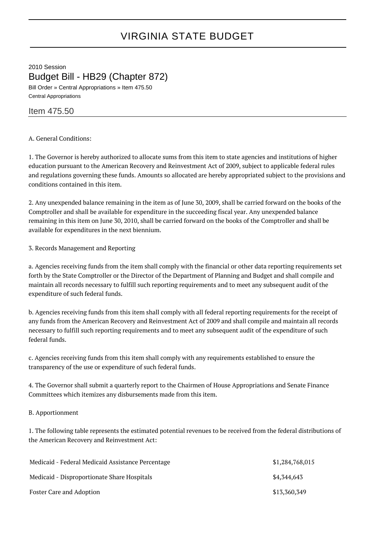# VIRGINIA STATE BUDGET

2010 Session Budget Bill - HB29 (Chapter 872) Bill Order » Central Appropriations » Item 475.50

Central Appropriations

## Item 475.50

### A. General Conditions:

1. The Governor is hereby authorized to allocate sums from this item to state agencies and institutions of higher education pursuant to the American Recovery and Reinvestment Act of 2009, subject to applicable federal rules and regulations governing these funds. Amounts so allocated are hereby appropriated subject to the provisions and conditions contained in this item.

2. Any unexpended balance remaining in the item as of June 30, 2009, shall be carried forward on the books of the Comptroller and shall be available for expenditure in the succeeding fiscal year. Any unexpended balance remaining in this item on June 30, 2010, shall be carried forward on the books of the Comptroller and shall be available for expenditures in the next biennium.

3. Records Management and Reporting

a. Agencies receiving funds from the item shall comply with the financial or other data reporting requirements set forth by the State Comptroller or the Director of the Department of Planning and Budget and shall compile and maintain all records necessary to fulfill such reporting requirements and to meet any subsequent audit of the expenditure of such federal funds.

b. Agencies receiving funds from this item shall comply with all federal reporting requirements for the receipt of any funds from the American Recovery and Reinvestment Act of 2009 and shall compile and maintain all records necessary to fulfill such reporting requirements and to meet any subsequent audit of the expenditure of such federal funds.

c. Agencies receiving funds from this item shall comply with any requirements established to ensure the transparency of the use or expenditure of such federal funds.

4. The Governor shall submit a quarterly report to the Chairmen of House Appropriations and Senate Finance Committees which itemizes any disbursements made from this item.

#### B. Apportionment

1. The following table represents the estimated potential revenues to be received from the federal distributions of the American Recovery and Reinvestment Act:

| Medicaid - Federal Medicaid Assistance Percentage | \$1,284,768,015 |
|---------------------------------------------------|-----------------|
| Medicaid - Disproportionate Share Hospitals       | \$4,344,643     |
| Foster Care and Adoption                          | \$13,360,349    |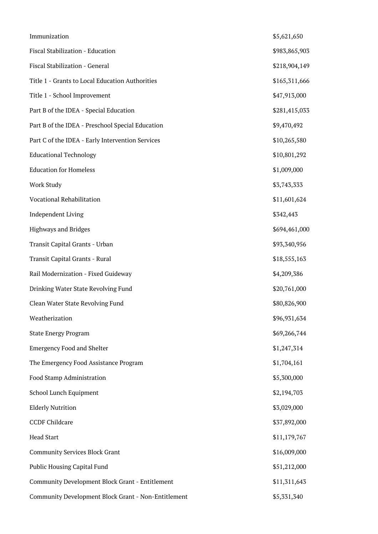| Immunization                                        | \$5,621,650   |
|-----------------------------------------------------|---------------|
| Fiscal Stabilization - Education                    | \$983,865,903 |
| Fiscal Stabilization - General                      | \$218,904,149 |
| Title 1 - Grants to Local Education Authorities     | \$165,311,666 |
| Title 1 - School Improvement                        | \$47,913,000  |
| Part B of the IDEA - Special Education              | \$281,415,033 |
| Part B of the IDEA - Preschool Special Education    | \$9,470,492   |
| Part C of the IDEA - Early Intervention Services    | \$10,265,580  |
| <b>Educational Technology</b>                       | \$10,801,292  |
| <b>Education for Homeless</b>                       | \$1,009,000   |
| <b>Work Study</b>                                   | \$3,743,333   |
| Vocational Rehabilitation                           | \$11,601,624  |
| <b>Independent Living</b>                           | \$342,443     |
| Highways and Bridges                                | \$694,461,000 |
| Transit Capital Grants - Urban                      | \$93,340,956  |
| Transit Capital Grants - Rural                      | \$18,555,163  |
| Rail Modernization - Fixed Guideway                 | \$4,209,386   |
| Drinking Water State Revolving Fund                 | \$20,761,000  |
| Clean Water State Revolving Fund                    | \$80,826,900  |
| Weatherization                                      | \$96,931,634  |
| <b>State Energy Program</b>                         | \$69,266,744  |
| <b>Emergency Food and Shelter</b>                   | \$1,247,314   |
| The Emergency Food Assistance Program               | \$1,704,161   |
| Food Stamp Administration                           | \$5,300,000   |
| School Lunch Equipment                              | \$2,194,703   |
| <b>Elderly Nutrition</b>                            | \$3,029,000   |
| <b>CCDF Childcare</b>                               | \$37,892,000  |
| <b>Head Start</b>                                   | \$11,179,767  |
| <b>Community Services Block Grant</b>               | \$16,009,000  |
| Public Housing Capital Fund                         | \$51,212,000  |
| Community Development Block Grant - Entitlement     | \$11,311,643  |
| Community Development Block Grant - Non-Entitlement | \$5,331,340   |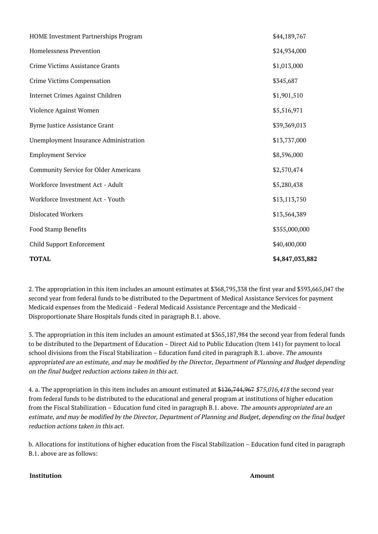| <b>TOTAL</b>                                 | \$4,847,033,882 |
|----------------------------------------------|-----------------|
| Child Support Enforcement                    | \$40,400,000    |
| Food Stamp Benefits                          | \$355,000,000   |
| <b>Dislocated Workers</b>                    | \$13,564,389    |
| Workforce Investment Act - Youth             | \$13,113,750    |
| Workforce Investment Act - Adult             | \$5,280,438     |
| <b>Community Service for Older Americans</b> | \$2,570,474     |
| <b>Employment Service</b>                    | \$8,596,000     |
| Unemployment Insurance Administration        | \$13,737,000    |
| <b>Byrne Justice Assistance Grant</b>        | \$39,369,013    |
| Violence Against Women                       | \$5,516,971     |
| Internet Crimes Against Children             | \$1,901,510     |
| Crime Victims Compensation                   | \$345,687       |
| Crime Victims Assistance Grants              | \$1,013,000     |
| Homelessness Prevention                      | \$24,934,000    |
| HOME Investment Partnerships Program         | \$44,189,767    |

2. The appropriation in this item includes an amount estimates at \$368,795,338 the first year and \$593,665,047 the second year from federal funds to be distributed to the Department of Medical Assistance Services for payment Medicaid expenses from the Medicaid - Federal Medicaid Assistance Percentage and the Medicaid - Disproportionate Share Hospitals funds cited in paragraph B.1. above.

3. The appropriation in this item includes an amount estimated at \$365,187,984 the second year from federal funds to be distributed to the Department of Education – Direct Aid to Public Education (Item 141) for payment to local school divisions from the Fiscal Stabilization – Education fund cited in paragraph B.1. above. The amounts appropriated are an estimate, and may be modified by the Director, Department of Planning and Budget depending on the final budget reduction actions taken in this act.

4. a. The appropriation in this item includes an amount estimated at \$126,744,967 \$75,016,418 the second year from federal funds to be distributed to the educational and general program at institutions of higher education from the Fiscal Stabilization – Education fund cited in paragraph B.1. above. The amounts appropriated are an estimate, and may be modified by the Director, Department of Planning and Budget, depending on the final budget reduction actions taken in this act.

b. Allocations for institutions of higher education from the Fiscal Stabilization – Education fund cited in paragraph B.1. above are as follows:

## **Institution Amount**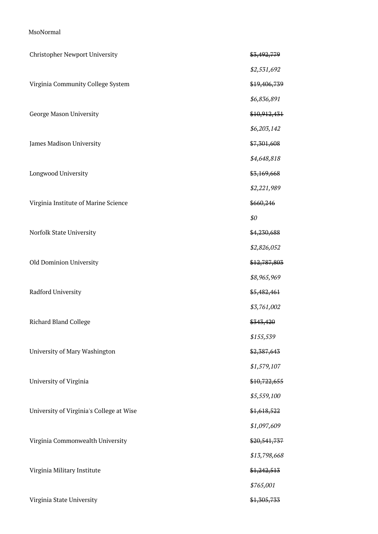## MsoNormal

| Christopher Newport University           | \$3,492,779  |
|------------------------------------------|--------------|
|                                          | \$2,531,692  |
| Virginia Community College System        | \$19,406,739 |
|                                          | \$6,836,891  |
| George Mason University                  | \$10,912,431 |
|                                          | \$6,203,142  |
| James Madison University                 | \$7,301,608  |
|                                          | \$4,648,818  |
| Longwood University                      | \$3,169,668  |
|                                          | \$2,221,989  |
| Virginia Institute of Marine Science     | \$660,246    |
|                                          | \$0          |
| Norfolk State University                 | \$4,230,688  |
|                                          | \$2,826,052  |
| Old Dominion University                  | \$12,787,803 |
|                                          | \$8,965,969  |
| Radford University                       | \$5,482,461  |
|                                          | \$3,761,002  |
| Richard Bland College                    | \$343,420    |
|                                          | \$155,539    |
| University of Mary Washington            | \$2,387,643  |
|                                          | \$1,579,107  |
| University of Virginia                   | \$10,722,655 |
|                                          | \$5,559,100  |
| University of Virginia's College at Wise | \$1,618,522  |
|                                          | \$1,097,609  |
| Virginia Commonwealth University         | \$20,541,737 |
|                                          | \$13,798,668 |
| Virginia Military Institute              | \$1,242,513  |
|                                          | \$765,001    |
| Virginia State University                | \$1,305,733  |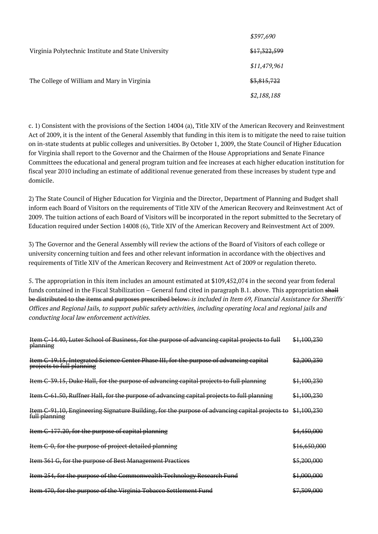|                                                     | \$397,690    |
|-----------------------------------------------------|--------------|
| Virginia Polytechnic Institute and State University | \$17,322,599 |
|                                                     | \$11,479,961 |
| The College of William and Mary in Virginia         | \$3,815,722  |
|                                                     | \$2,188,188  |

c. 1) Consistent with the provisions of the Section 14004 (a), Title XIV of the American Recovery and Reinvestment Act of 2009, it is the intent of the General Assembly that funding in this item is to mitigate the need to raise tuition on in-state students at public colleges and universities. By October 1, 2009, the State Council of Higher Education for Virginia shall report to the Governor and the Chairmen of the House Appropriations and Senate Finance Committees the educational and general program tuition and fee increases at each higher education institution for fiscal year 2010 including an estimate of additional revenue generated from these increases by student type and domicile.

2) The State Council of Higher Education for Virginia and the Director, Department of Planning and Budget shall inform each Board of Visitors on the requirements of Title XIV of the American Recovery and Reinvestment Act of 2009. The tuition actions of each Board of Visitors will be incorporated in the report submitted to the Secretary of Education required under Section 14008 (6), Title XIV of the American Recovery and Reinvestment Act of 2009.

3) The Governor and the General Assembly will review the actions of the Board of Visitors of each college or university concerning tuition and fees and other relevant information in accordance with the objectives and requirements of Title XIV of the American Recovery and Reinvestment Act of 2009 or regulation thereto.

5. The appropriation in this item includes an amount estimated at \$109,452,074 in the second year from federal funds contained in the Fiscal Stabilization – General fund cited in paragraph B.1. above. This appropriation shall be distributed to the items and purposes prescribed below: is included in Item 69, Financial Assistance for Sheriffs' Offices and Regional Jails, to support public safety activities, including operating local and regional jails and conducting local law enforcement activities.

| Item C-14.40, Luter School of Business, for the purpose of advancing capital projects to full<br>planning            | \$1,100,230             |
|----------------------------------------------------------------------------------------------------------------------|-------------------------|
| Item C-19.15, Integrated Science Center Phase III, for the purpose of advancing capital<br>projects to full planning | <del>\$2,200,230</del>  |
| Item C-39.15, Duke Hall, for the purpose of advancing capital projects to full planning                              | \$1,100,230             |
| Item C-61.50, Ruffner Hall, for the purpose of advancing capital projects to full planning                           | <del>\$1,100,230</del>  |
| Item C-91.10, Engineering Signature Building, for the purpose of advancing capital projects to<br>full planning      | \$1,100,230             |
| Item C-177.20, for the purpose of capital planning                                                                   | <del>\$4,450,000</del>  |
| Item C-0, for the purpose of project detailed planning                                                               | <del>\$16,650,000</del> |
| Item 361 G, for the purpose of Best Management Practices                                                             | \$5,200,000             |
| Item 254, for the purpose of the Commonwealth Technology Research Fund                                               | \$1,000,000             |
| Item 470, for the purpose of the Virginia Tobacco Settlement Fund                                                    | <del>\$7,309,000</del>  |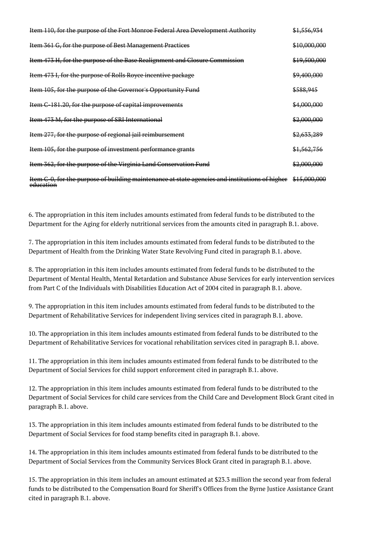| Item 110, for the purpose of the Fort Monroe Federal Area Development Authority                             | \$1,556,934            |
|-------------------------------------------------------------------------------------------------------------|------------------------|
| Item 361 G, for the purpose of Best Management Practices                                                    | \$10,000,000           |
| Item 473 H, for the purpose of the Base Realignment and Closure Commission                                  | \$19,500,000           |
| Item 473 I, for the purpose of Rolls Royce incentive package                                                | \$9,400,000            |
| Item 105, for the purpose of the Governor's Opportunity Fund                                                | \$588,945              |
| Item C-181.20, for the purpose of capital improvements                                                      | \$4,000,000            |
| Item 473 M, for the purpose of SRI International                                                            | \$2,000,000            |
| Item 277, for the purpose of regional jail reimbursement                                                    | <del>\$2,633,289</del> |
| Item 105, for the purpose of investment performance grants                                                  | \$1,562,756            |
| Item 362, for the purpose of the Virginia Land Conservation Fund                                            | \$2,000,000            |
| Item C-0, for the purpose of building maintenance at state agencies and institutions of higher<br>education | \$15,000,000           |

6. The appropriation in this item includes amounts estimated from federal funds to be distributed to the Department for the Aging for elderly nutritional services from the amounts cited in paragraph B.1. above.

7. The appropriation in this item includes amounts estimated from federal funds to be distributed to the Department of Health from the Drinking Water State Revolving Fund cited in paragraph B.1. above.

8. The appropriation in this item includes amounts estimated from federal funds to be distributed to the Department of Mental Health, Mental Retardation and Substance Abuse Services for early intervention services from Part C of the Individuals with Disabilities Education Act of 2004 cited in paragraph B.1. above.

9. The appropriation in this item includes amounts estimated from federal funds to be distributed to the Department of Rehabilitative Services for independent living services cited in paragraph B.1. above.

10. The appropriation in this item includes amounts estimated from federal funds to be distributed to the Department of Rehabilitative Services for vocational rehabilitation services cited in paragraph B.1. above.

11. The appropriation in this item includes amounts estimated from federal funds to be distributed to the Department of Social Services for child support enforcement cited in paragraph B.1. above.

12. The appropriation in this item includes amounts estimated from federal funds to be distributed to the Department of Social Services for child care services from the Child Care and Development Block Grant cited in paragraph B.1. above.

13. The appropriation in this item includes amounts estimated from federal funds to be distributed to the Department of Social Services for food stamp benefits cited in paragraph B.1. above.

14. The appropriation in this item includes amounts estimated from federal funds to be distributed to the Department of Social Services from the Community Services Block Grant cited in paragraph B.1. above.

15. The appropriation in this item includes an amount estimated at \$23.3 million the second year from federal funds to be distributed to the Compensation Board for Sheriff's Offices from the Byrne Justice Assistance Grant cited in paragraph B.1. above.